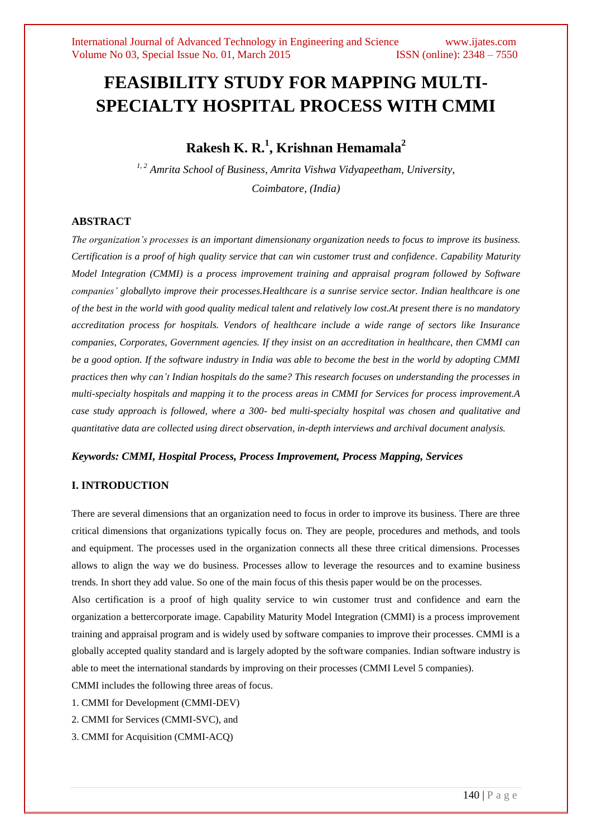# **FEASIBILITY STUDY FOR MAPPING MULTI-SPECIALTY HOSPITAL PROCESS WITH CMMI**

## **Rakesh K. R.<sup>1</sup> , Krishnan Hemamala<sup>2</sup>**

*1, 2 Amrita School of Business, Amrita Vishwa Vidyapeetham, University, Coimbatore, (India)*

## **ABSTRACT**

*The organization's processes is an important dimensionany organization needs to focus to improve its business. Certification is a proof of high quality service that can win customer trust and confidence. Capability Maturity Model Integration (CMMI) is a process improvement training and appraisal program followed by Software companies' globallyto improve their processes.Healthcare is a sunrise service sector. Indian healthcare is one of the best in the world with good quality medical talent and relatively low cost.At present there is no mandatory accreditation process for hospitals. Vendors of healthcare include a wide range of sectors like Insurance companies, Corporates, Government agencies. If they insist on an accreditation in healthcare, then CMMI can be a good option. If the software industry in India was able to become the best in the world by adopting CMMI practices then why can't Indian hospitals do the same? This research focuses on understanding the processes in multi-specialty hospitals and mapping it to the process areas in CMMI for Services for process improvement.A case study approach is followed, where a 300- bed multi-specialty hospital was chosen and qualitative and quantitative data are collected using direct observation, in-depth interviews and archival document analysis.*

## *Keywords: CMMI, Hospital Process, Process Improvement, Process Mapping, Services*

## **I. INTRODUCTION**

There are several dimensions that an organization need to focus in order to improve its business. There are three critical dimensions that organizations typically focus on. They are people, procedures and methods, and tools and equipment. The processes used in the organization connects all these three critical dimensions. Processes allows to align the way we do business. Processes allow to leverage the resources and to examine business trends. In short they add value. So one of the main focus of this thesis paper would be on the processes.

Also certification is a proof of high quality service to win customer trust and confidence and earn the organization a bettercorporate image. Capability Maturity Model Integration (CMMI) is a process improvement training and appraisal program and is widely used by software companies to improve their processes. CMMI is a globally accepted quality standard and is largely adopted by the software companies. Indian software industry is able to meet the international standards by improving on their processes (CMMI Level 5 companies).

CMMI includes the following three areas of focus.

- 1. CMMI for Development (CMMI-DEV)
- 2. CMMI for Services (CMMI-SVC), and
- 3. CMMI for Acquisition (CMMI-ACQ)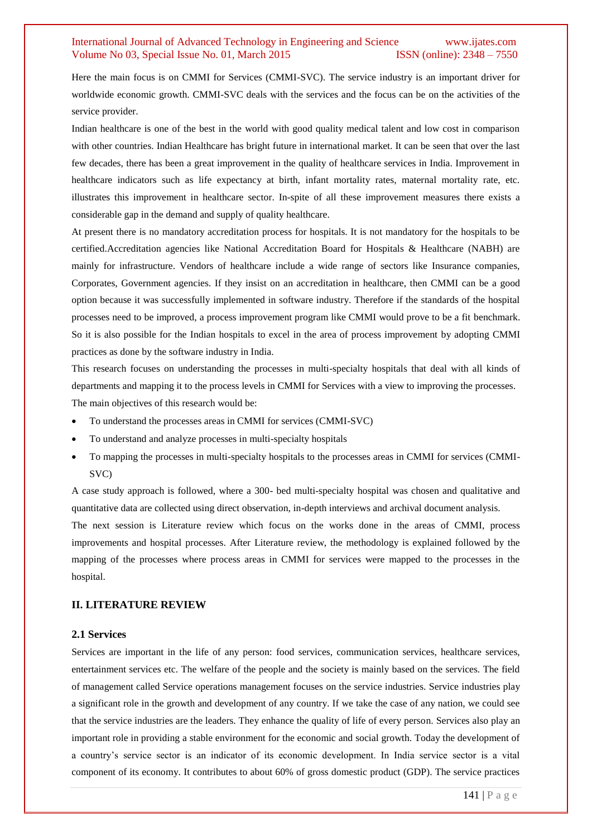Here the main focus is on CMMI for Services (CMMI-SVC). The service industry is an important driver for worldwide economic growth. CMMI-SVC deals with the services and the focus can be on the activities of the service provider.

Indian healthcare is one of the best in the world with good quality medical talent and low cost in comparison with other countries. Indian Healthcare has bright future in international market. It can be seen that over the last few decades, there has been a great improvement in the quality of healthcare services in India. Improvement in healthcare indicators such as life expectancy at birth, infant mortality rates, maternal mortality rate, etc. illustrates this improvement in healthcare sector. In-spite of all these improvement measures there exists a considerable gap in the demand and supply of quality healthcare.

At present there is no mandatory accreditation process for hospitals. It is not mandatory for the hospitals to be certified.Accreditation agencies like National Accreditation Board for Hospitals & Healthcare (NABH) are mainly for infrastructure. Vendors of healthcare include a wide range of sectors like Insurance companies, Corporates, Government agencies. If they insist on an accreditation in healthcare, then CMMI can be a good option because it was successfully implemented in software industry. Therefore if the standards of the hospital processes need to be improved, a process improvement program like CMMI would prove to be a fit benchmark. So it is also possible for the Indian hospitals to excel in the area of process improvement by adopting CMMI practices as done by the software industry in India.

This research focuses on understanding the processes in multi-specialty hospitals that deal with all kinds of departments and mapping it to the process levels in CMMI for Services with a view to improving the processes. The main objectives of this research would be:

- To understand the processes areas in CMMI for services (CMMI-SVC)
- To understand and analyze processes in multi-specialty hospitals
- To mapping the processes in multi-specialty hospitals to the processes areas in CMMI for services (CMMI-SVC)

A case study approach is followed, where a 300- bed multi-specialty hospital was chosen and qualitative and quantitative data are collected using direct observation, in-depth interviews and archival document analysis.

The next session is Literature review which focus on the works done in the areas of CMMI, process improvements and hospital processes. After Literature review, the methodology is explained followed by the mapping of the processes where process areas in CMMI for services were mapped to the processes in the hospital.

## **II. LITERATURE REVIEW**

#### **2.1 Services**

Services are important in the life of any person: food services, communication services, healthcare services, entertainment services etc. The welfare of the people and the society is mainly based on the services. The field of management called Service operations management focuses on the service industries. Service industries play a significant role in the growth and development of any country. If we take the case of any nation, we could see that the service industries are the leaders. They enhance the quality of life of every person. Services also play an important role in providing a stable environment for the economic and social growth. Today the development of a country's service sector is an indicator of its economic development. In India service sector is a vital component of its economy. It contributes to about 60% of gross domestic product (GDP). The service practices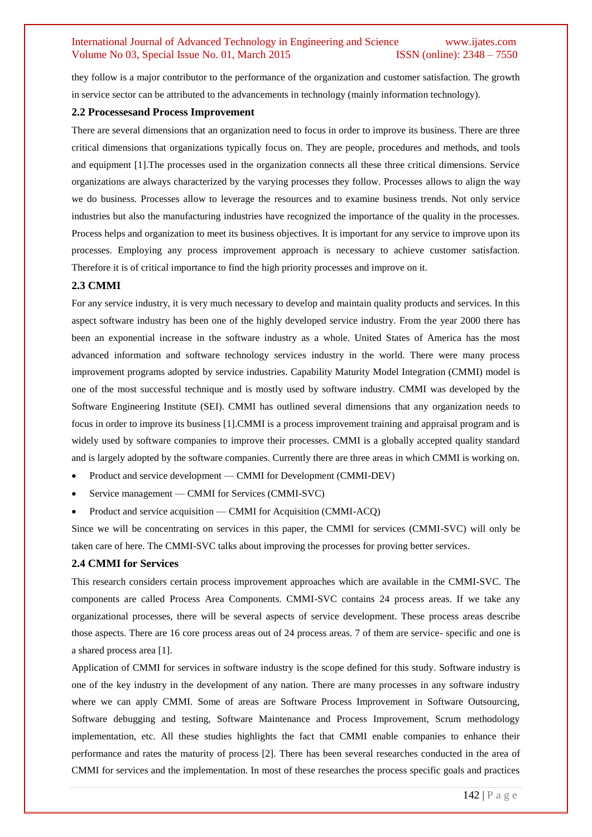they follow is a major contributor to the performance of the organization and customer satisfaction. The growth in service sector can be attributed to the advancements in technology (mainly information technology).

#### **2.2 Processesand Process Improvement**

There are several dimensions that an organization need to focus in order to improve its business. There are three critical dimensions that organizations typically focus on. They are people, procedures and methods, and tools and equipment [1].The processes used in the organization connects all these three critical dimensions. Service organizations are always characterized by the varying processes they follow. Processes allows to align the way we do business. Processes allow to leverage the resources and to examine business trends. Not only service industries but also the manufacturing industries have recognized the importance of the quality in the processes. Process helps and organization to meet its business objectives. It is important for any service to improve upon its processes. Employing any process improvement approach is necessary to achieve customer satisfaction. Therefore it is of critical importance to find the high priority processes and improve on it.

#### **2.3 CMMI**

For any service industry, it is very much necessary to develop and maintain quality products and services. In this aspect software industry has been one of the highly developed service industry. From the year 2000 there has been an exponential increase in the software industry as a whole. United States of America has the most advanced information and software technology services industry in the world. There were many process improvement programs adopted by service industries. Capability Maturity Model Integration (CMMI) model is one of the most successful technique and is mostly used by software industry. CMMI was developed by the Software Engineering Institute (SEI). CMMI has outlined several dimensions that any organization needs to focus in order to improve its business [1].CMMI is a process improvement training and appraisal program and is widely used by software companies to improve their processes. CMMI is a globally accepted quality standard and is largely adopted by the software companies. Currently there are three areas in which CMMI is working on.

- Product and service development CMMI for Development (CMMI-DEV)
- Service management CMMI for Services (CMMI-SVC)
- Product and service acquisition CMMI for Acquisition (CMMI-ACQ)

Since we will be concentrating on services in this paper, the CMMI for services (CMMI-SVC) will only be taken care of here. The CMMI-SVC talks about improving the processes for proving better services.

#### **2.4 CMMI for Services**

This research considers certain process improvement approaches which are available in the CMMI-SVC. The components are called Process Area Components. CMMI-SVC contains 24 process areas. If we take any organizational processes, there will be several aspects of service development. These process areas describe those aspects. There are 16 core process areas out of 24 process areas. 7 of them are service- specific and one is a shared process area [1].

Application of CMMI for services in software industry is the scope defined for this study. Software industry is one of the key industry in the development of any nation. There are many processes in any software industry where we can apply CMMI. Some of areas are Software Process Improvement in Software Outsourcing, Software debugging and testing, Software Maintenance and Process Improvement, Scrum methodology implementation, etc. All these studies highlights the fact that CMMI enable companies to enhance their performance and rates the maturity of process [2]. There has been several researches conducted in the area of CMMI for services and the implementation. In most of these researches the process specific goals and practices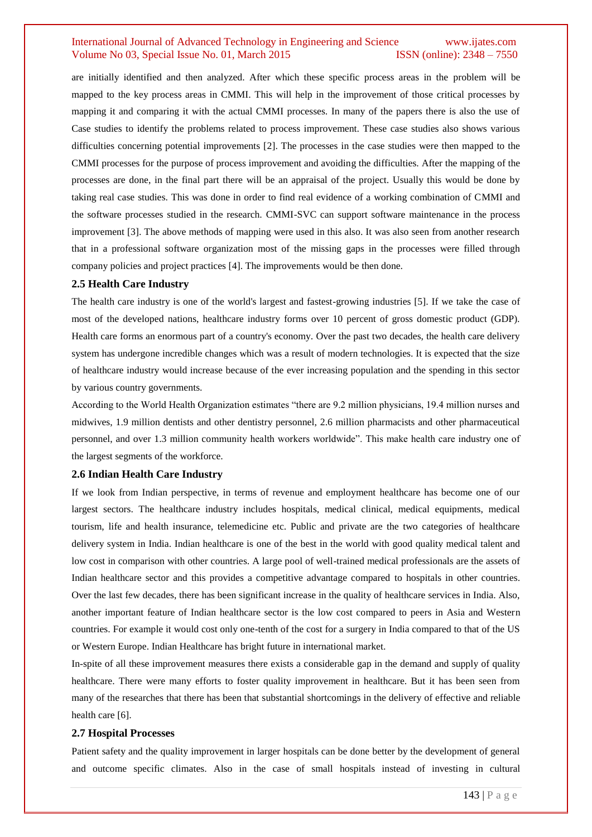are initially identified and then analyzed. After which these specific process areas in the problem will be mapped to the key process areas in CMMI. This will help in the improvement of those critical processes by mapping it and comparing it with the actual CMMI processes. In many of the papers there is also the use of Case studies to identify the problems related to process improvement. These case studies also shows various difficulties concerning potential improvements [2]. The processes in the case studies were then mapped to the CMMI processes for the purpose of process improvement and avoiding the difficulties. After the mapping of the processes are done, in the final part there will be an appraisal of the project. Usually this would be done by taking real case studies. This was done in order to find real evidence of a working combination of CMMI and the software processes studied in the research. CMMI-SVC can support software maintenance in the process improvement [3]. The above methods of mapping were used in this also. It was also seen from another research that in a professional software organization most of the missing gaps in the processes were filled through company policies and project practices [4]. The improvements would be then done.

#### **2.5 Health Care Industry**

The health care industry is one of the world's largest and fastest-growing industries [5]. If we take the case of most of the developed nations, healthcare industry forms over 10 percent of gross domestic product (GDP). Health care forms an enormous part of a country's economy. Over the past two decades, the health care delivery system has undergone incredible changes which was a result of modern technologies. It is expected that the size of healthcare industry would increase because of the ever increasing population and the spending in this sector by various country governments.

According to the World Health Organization estimates "there are 9.2 million physicians, 19.4 million nurses and midwives, 1.9 million dentists and other dentistry personnel, 2.6 million pharmacists and other pharmaceutical personnel, and over 1.3 million community health workers worldwide". This make health care industry one of the largest segments of the workforce.

#### **2.6 Indian Health Care Industry**

If we look from Indian perspective, in terms of revenue and employment healthcare has become one of our largest sectors. The healthcare industry includes hospitals, medical clinical, medical equipments, medical tourism, life and health insurance, telemedicine etc. Public and private are the two categories of healthcare delivery system in India. Indian healthcare is one of the best in the world with good quality medical talent and low cost in comparison with other countries. A large pool of well-trained medical professionals are the assets of Indian healthcare sector and this provides a competitive advantage compared to hospitals in other countries. Over the last few decades, there has been significant increase in the quality of healthcare services in India. Also, another important feature of Indian healthcare sector is the low cost compared to peers in Asia and Western countries. For example it would cost only one-tenth of the cost for a surgery in India compared to that of the US or Western Europe. Indian Healthcare has bright future in international market.

In-spite of all these improvement measures there exists a considerable gap in the demand and supply of quality healthcare. There were many efforts to foster quality improvement in healthcare. But it has been seen from many of the researches that there has been that substantial shortcomings in the delivery of effective and reliable health care [6].

#### **2.7 Hospital Processes**

Patient safety and the quality improvement in larger hospitals can be done better by the development of general and outcome specific climates. Also in the case of small hospitals instead of investing in cultural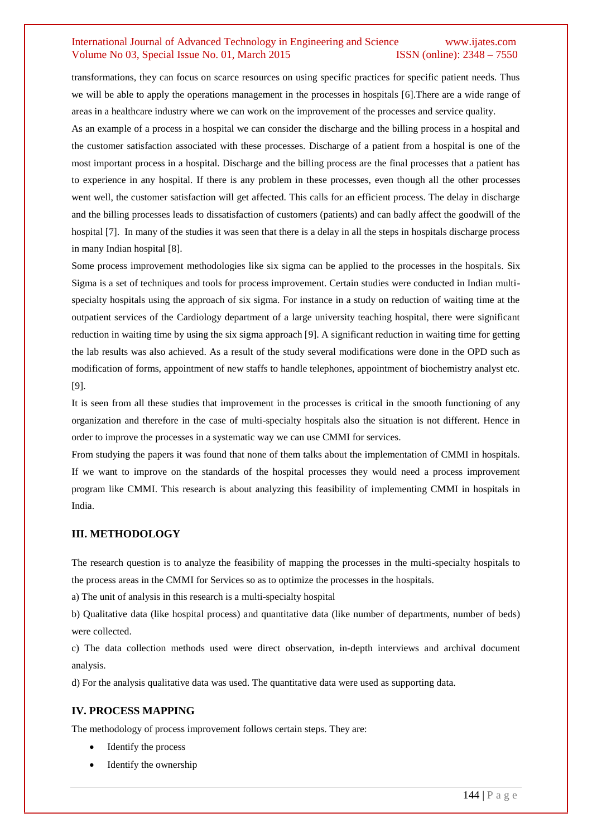transformations, they can focus on scarce resources on using specific practices for specific patient needs. Thus we will be able to apply the operations management in the processes in hospitals [6].There are a wide range of areas in a healthcare industry where we can work on the improvement of the processes and service quality.

As an example of a process in a hospital we can consider the discharge and the billing process in a hospital and the customer satisfaction associated with these processes. Discharge of a patient from a hospital is one of the most important process in a hospital. Discharge and the billing process are the final processes that a patient has to experience in any hospital. If there is any problem in these processes, even though all the other processes went well, the customer satisfaction will get affected. This calls for an efficient process. The delay in discharge and the billing processes leads to dissatisfaction of customers (patients) and can badly affect the goodwill of the hospital [7]. In many of the studies it was seen that there is a delay in all the steps in hospitals discharge process in many Indian hospital [8].

Some process improvement methodologies like six sigma can be applied to the processes in the hospitals. Six Sigma is a set of techniques and tools for process improvement. Certain studies were conducted in Indian multispecialty hospitals using the approach of six sigma. For instance in a study on reduction of waiting time at the outpatient services of the Cardiology department of a large university teaching hospital, there were significant reduction in waiting time by using the six sigma approach [9]. A significant reduction in waiting time for getting the lab results was also achieved. As a result of the study several modifications were done in the OPD such as modification of forms, appointment of new staffs to handle telephones, appointment of biochemistry analyst etc. [9].

It is seen from all these studies that improvement in the processes is critical in the smooth functioning of any organization and therefore in the case of multi-specialty hospitals also the situation is not different. Hence in order to improve the processes in a systematic way we can use CMMI for services.

From studying the papers it was found that none of them talks about the implementation of CMMI in hospitals. If we want to improve on the standards of the hospital processes they would need a process improvement program like CMMI. This research is about analyzing this feasibility of implementing CMMI in hospitals in India.

#### **III. METHODOLOGY**

The research question is to analyze the feasibility of mapping the processes in the multi-specialty hospitals to the process areas in the CMMI for Services so as to optimize the processes in the hospitals.

a) The unit of analysis in this research is a multi-specialty hospital

b) Qualitative data (like hospital process) and quantitative data (like number of departments, number of beds) were collected.

c) The data collection methods used were direct observation, in-depth interviews and archival document analysis.

d) For the analysis qualitative data was used. The quantitative data were used as supporting data.

#### **IV. PROCESS MAPPING**

The methodology of process improvement follows certain steps. They are:

- Identify the process
- Identify the ownership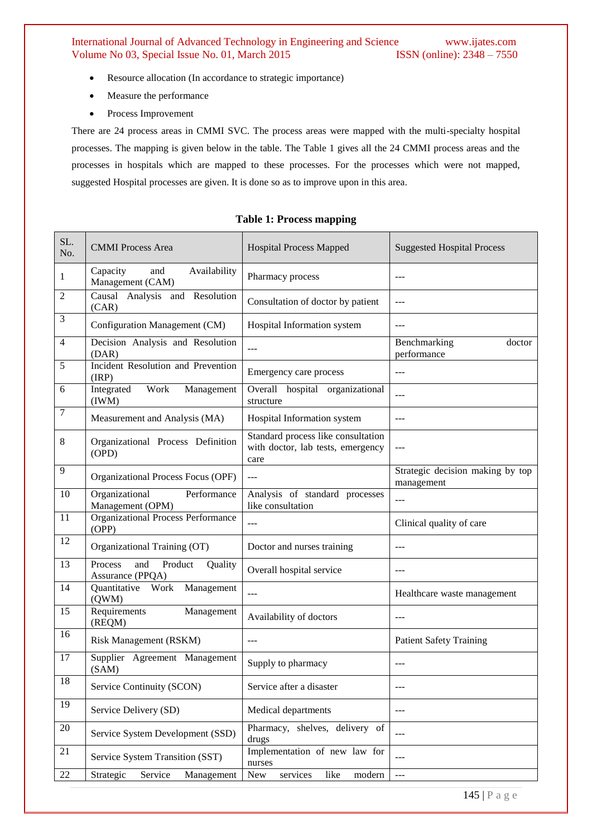- Resource allocation (In accordance to strategic importance)
- Measure the performance
- Process Improvement

There are 24 process areas in CMMI SVC. The process areas were mapped with the multi-specialty hospital processes. The mapping is given below in the table. The Table 1 gives all the 24 CMMI process areas and the processes in hospitals which are mapped to these processes. For the processes which were not mapped, suggested Hospital processes are given. It is done so as to improve upon in this area.

## **Table 1: Process mapping**

| SL.<br>No.     | <b>CMMI</b> Process Area                                 | <b>Hospital Process Mapped</b>                                                  | <b>Suggested Hospital Process</b>              |
|----------------|----------------------------------------------------------|---------------------------------------------------------------------------------|------------------------------------------------|
| 1              | Capacity<br>and<br>Availability<br>Management (CAM)      | Pharmacy process                                                                | $---$                                          |
| $\overline{c}$ | Causal Analysis and Resolution<br>(CAR)                  | Consultation of doctor by patient                                               | ---                                            |
| 3              | Configuration Management (CM)                            | Hospital Information system                                                     | ---                                            |
| $\overline{4}$ | Decision Analysis and Resolution<br>(DAR)                | $\overline{a}$                                                                  | Benchmarking<br>doctor<br>performance          |
| 5              | Incident Resolution and Prevention<br>(IRP)              | Emergency care process                                                          | ---                                            |
| 6              | Work<br>Integrated<br>Management<br>(IWM)                | Overall hospital organizational<br>structure                                    | ---                                            |
| 7              | Measurement and Analysis (MA)                            | Hospital Information system                                                     | $\overline{a}$                                 |
| 8              | Organizational Process Definition<br>(OPD)               | Standard process like consultation<br>with doctor, lab tests, emergency<br>care | ---                                            |
| 9              | Organizational Process Focus (OPF)                       | $\overline{a}$                                                                  | Strategic decision making by top<br>management |
| 10             | Organizational<br>Performance<br>Management (OPM)        | Analysis of standard processes<br>like consultation                             | ---                                            |
| 11             | <b>Organizational Process Performance</b><br>(OPP)       | $---$                                                                           | Clinical quality of care                       |
| 12             | Organizational Training (OT)                             | Doctor and nurses training                                                      | $---$                                          |
| 13             | Product<br>and<br>Quality<br>Process<br>Assurance (PPQA) | Overall hospital service                                                        | $---$                                          |
| 14             | Quantitative Work<br>Management<br>(QWM)                 | $---$                                                                           | Healthcare waste management                    |
| 15             | Requirements<br>Management<br>(REQM)                     | Availability of doctors                                                         | $---$                                          |
| 16             | <b>Risk Management (RSKM)</b>                            | $---$                                                                           | <b>Patient Safety Training</b>                 |
| 17             | Supplier Agreement Management<br>(SAM)                   | Supply to pharmacy                                                              | $ -$                                           |
| 18             | Service Continuity (SCON)                                | Service after a disaster                                                        | $---$                                          |
| 19             | Service Delivery (SD)                                    | Medical departments                                                             | ---                                            |
| $20\,$         | Service System Development (SSD)                         | Pharmacy, shelves, delivery of<br>drugs                                         | ---                                            |
| 21             | Service System Transition (SST)                          | Implementation of new law for<br>nurses                                         | ---                                            |
| 22             | Service<br>Strategic<br>Management                       | like<br>modern<br>New<br>services                                               | ---                                            |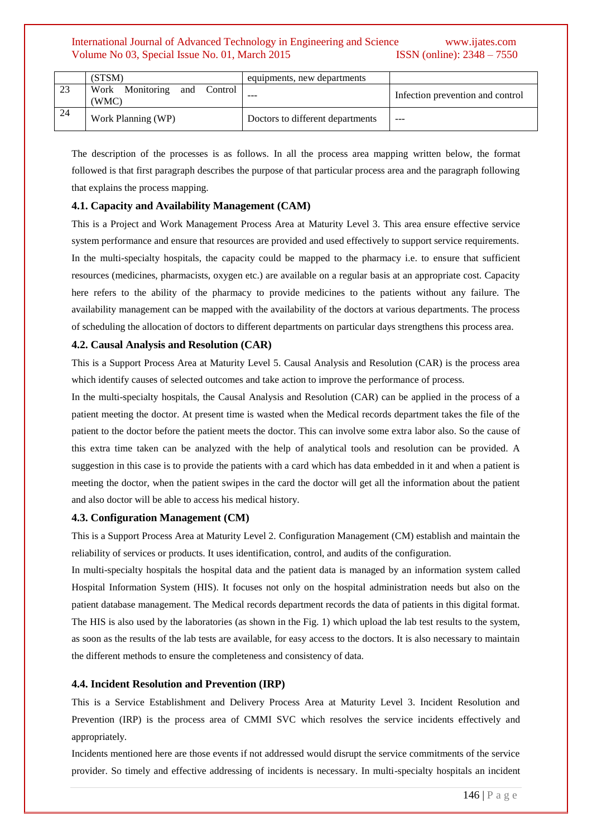|     | (STSM)                               | equipments, new departments      |                                  |
|-----|--------------------------------------|----------------------------------|----------------------------------|
|     | Work Monitoring and Control<br>(WMC) | ---                              | Infection prevention and control |
| -24 | Work Planning (WP)                   | Doctors to different departments | ---                              |

The description of the processes is as follows. In all the process area mapping written below, the format followed is that first paragraph describes the purpose of that particular process area and the paragraph following that explains the process mapping.

### **4.1. Capacity and Availability Management (CAM)**

This is a Project and Work Management Process Area at Maturity Level 3. This area ensure effective service system performance and ensure that resources are provided and used effectively to support service requirements. In the multi-specialty hospitals, the capacity could be mapped to the pharmacy i.e. to ensure that sufficient resources (medicines, pharmacists, oxygen etc.) are available on a regular basis at an appropriate cost. Capacity here refers to the ability of the pharmacy to provide medicines to the patients without any failure. The availability management can be mapped with the availability of the doctors at various departments. The process of scheduling the allocation of doctors to different departments on particular days strengthens this process area.

#### **4.2. Causal Analysis and Resolution (CAR)**

This is a Support Process Area at Maturity Level 5. Causal Analysis and Resolution (CAR) is the process area which identify causes of selected outcomes and take action to improve the performance of process.

In the multi-specialty hospitals, the Causal Analysis and Resolution (CAR) can be applied in the process of a patient meeting the doctor. At present time is wasted when the Medical records department takes the file of the patient to the doctor before the patient meets the doctor. This can involve some extra labor also. So the cause of this extra time taken can be analyzed with the help of analytical tools and resolution can be provided. A suggestion in this case is to provide the patients with a card which has data embedded in it and when a patient is meeting the doctor, when the patient swipes in the card the doctor will get all the information about the patient and also doctor will be able to access his medical history.

#### **4.3. Configuration Management (CM)**

This is a Support Process Area at Maturity Level 2. Configuration Management (CM) establish and maintain the reliability of services or products. It uses identification, control, and audits of the configuration.

In multi-specialty hospitals the hospital data and the patient data is managed by an information system called Hospital Information System (HIS). It focuses not only on the hospital administration needs but also on the patient database management. The Medical records department records the data of patients in this digital format. The HIS is also used by the laboratories (as shown in the Fig. 1) which upload the lab test results to the system, as soon as the results of the lab tests are available, for easy access to the doctors. It is also necessary to maintain the different methods to ensure the completeness and consistency of data.

#### **4.4. Incident Resolution and Prevention (IRP)**

This is a Service Establishment and Delivery Process Area at Maturity Level 3. Incident Resolution and Prevention (IRP) is the process area of CMMI SVC which resolves the service incidents effectively and appropriately.

Incidents mentioned here are those events if not addressed would disrupt the service commitments of the service provider. So timely and effective addressing of incidents is necessary. In multi-specialty hospitals an incident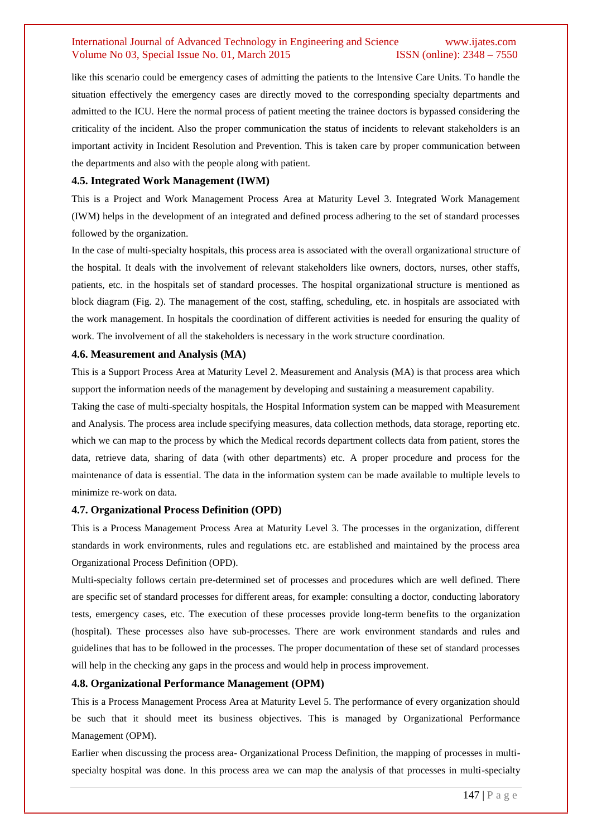like this scenario could be emergency cases of admitting the patients to the Intensive Care Units. To handle the situation effectively the emergency cases are directly moved to the corresponding specialty departments and admitted to the ICU. Here the normal process of patient meeting the trainee doctors is bypassed considering the criticality of the incident. Also the proper communication the status of incidents to relevant stakeholders is an important activity in Incident Resolution and Prevention. This is taken care by proper communication between the departments and also with the people along with patient.

#### **4.5. Integrated Work Management (IWM)**

This is a Project and Work Management Process Area at Maturity Level 3. Integrated Work Management (IWM) helps in the development of an integrated and defined process adhering to the set of standard processes followed by the organization.

In the case of multi-specialty hospitals, this process area is associated with the overall organizational structure of the hospital. It deals with the involvement of relevant stakeholders like owners, doctors, nurses, other staffs, patients, etc. in the hospitals set of standard processes. The hospital organizational structure is mentioned as block diagram (Fig. 2). The management of the cost, staffing, scheduling, etc. in hospitals are associated with the work management. In hospitals the coordination of different activities is needed for ensuring the quality of work. The involvement of all the stakeholders is necessary in the work structure coordination.

#### **4.6. Measurement and Analysis (MA)**

This is a Support Process Area at Maturity Level 2. Measurement and Analysis (MA) is that process area which support the information needs of the management by developing and sustaining a measurement capability.

Taking the case of multi-specialty hospitals, the Hospital Information system can be mapped with Measurement and Analysis. The process area include specifying measures, data collection methods, data storage, reporting etc. which we can map to the process by which the Medical records department collects data from patient, stores the data, retrieve data, sharing of data (with other departments) etc. A proper procedure and process for the maintenance of data is essential. The data in the information system can be made available to multiple levels to minimize re-work on data.

#### **4.7. Organizational Process Definition (OPD)**

This is a Process Management Process Area at Maturity Level 3. The processes in the organization, different standards in work environments, rules and regulations etc. are established and maintained by the process area Organizational Process Definition (OPD).

Multi-specialty follows certain pre-determined set of processes and procedures which are well defined. There are specific set of standard processes for different areas, for example: consulting a doctor, conducting laboratory tests, emergency cases, etc. The execution of these processes provide long-term benefits to the organization (hospital). These processes also have sub-processes. There are work environment standards and rules and guidelines that has to be followed in the processes. The proper documentation of these set of standard processes will help in the checking any gaps in the process and would help in process improvement.

#### **4.8. Organizational Performance Management (OPM)**

This is a Process Management Process Area at Maturity Level 5. The performance of every organization should be such that it should meet its business objectives. This is managed by Organizational Performance Management (OPM).

Earlier when discussing the process area- Organizational Process Definition, the mapping of processes in multispecialty hospital was done. In this process area we can map the analysis of that processes in multi-specialty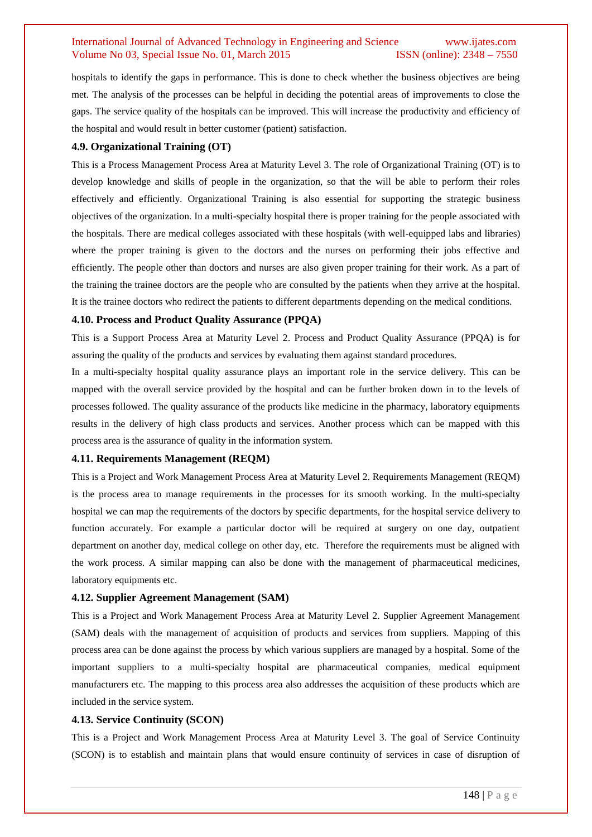hospitals to identify the gaps in performance. This is done to check whether the business objectives are being met. The analysis of the processes can be helpful in deciding the potential areas of improvements to close the gaps. The service quality of the hospitals can be improved. This will increase the productivity and efficiency of the hospital and would result in better customer (patient) satisfaction.

#### **4.9. Organizational Training (OT)**

This is a Process Management Process Area at Maturity Level 3. The role of Organizational Training (OT) is to develop knowledge and skills of people in the organization, so that the will be able to perform their roles effectively and efficiently. Organizational Training is also essential for supporting the strategic business objectives of the organization. In a multi-specialty hospital there is proper training for the people associated with the hospitals. There are medical colleges associated with these hospitals (with well-equipped labs and libraries) where the proper training is given to the doctors and the nurses on performing their jobs effective and efficiently. The people other than doctors and nurses are also given proper training for their work. As a part of the training the trainee doctors are the people who are consulted by the patients when they arrive at the hospital. It is the trainee doctors who redirect the patients to different departments depending on the medical conditions.

#### **4.10. Process and Product Quality Assurance (PPQA)**

This is a Support Process Area at Maturity Level 2. Process and Product Quality Assurance (PPQA) is for assuring the quality of the products and services by evaluating them against standard procedures.

In a multi-specialty hospital quality assurance plays an important role in the service delivery. This can be mapped with the overall service provided by the hospital and can be further broken down in to the levels of processes followed. The quality assurance of the products like medicine in the pharmacy, laboratory equipments results in the delivery of high class products and services. Another process which can be mapped with this process area is the assurance of quality in the information system.

#### **4.11. Requirements Management (REQM)**

This is a Project and Work Management Process Area at Maturity Level 2. Requirements Management (REQM) is the process area to manage requirements in the processes for its smooth working. In the multi-specialty hospital we can map the requirements of the doctors by specific departments, for the hospital service delivery to function accurately. For example a particular doctor will be required at surgery on one day, outpatient department on another day, medical college on other day, etc. Therefore the requirements must be aligned with the work process. A similar mapping can also be done with the management of pharmaceutical medicines, laboratory equipments etc.

#### **4.12. Supplier Agreement Management (SAM)**

This is a Project and Work Management Process Area at Maturity Level 2. Supplier Agreement Management (SAM) deals with the management of acquisition of products and services from suppliers. Mapping of this process area can be done against the process by which various suppliers are managed by a hospital. Some of the important suppliers to a multi-specialty hospital are pharmaceutical companies, medical equipment manufacturers etc. The mapping to this process area also addresses the acquisition of these products which are included in the service system.

#### **4.13. Service Continuity (SCON)**

This is a Project and Work Management Process Area at Maturity Level 3. The goal of Service Continuity (SCON) is to establish and maintain plans that would ensure continuity of services in case of disruption of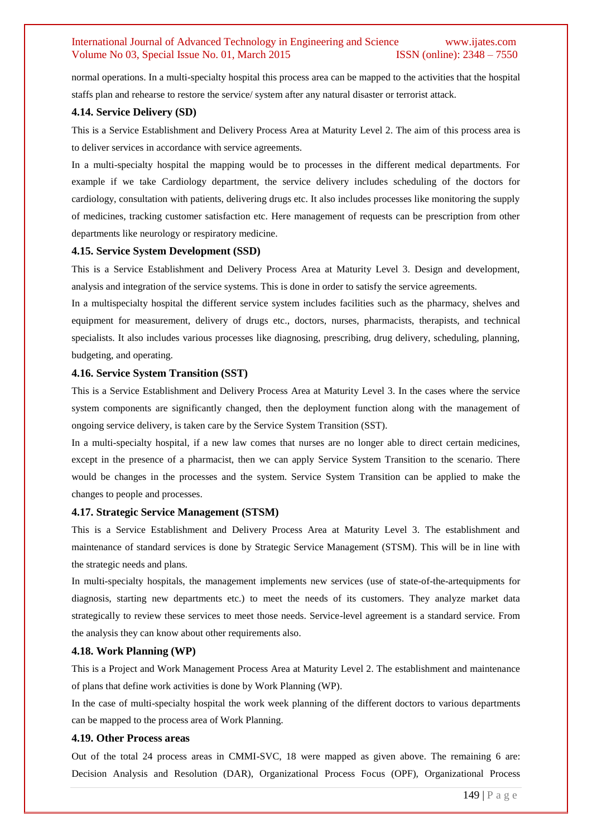normal operations. In a multi-specialty hospital this process area can be mapped to the activities that the hospital staffs plan and rehearse to restore the service/ system after any natural disaster or terrorist attack.

#### **4.14. Service Delivery (SD)**

This is a Service Establishment and Delivery Process Area at Maturity Level 2. The aim of this process area is to deliver services in accordance with service agreements.

In a multi-specialty hospital the mapping would be to processes in the different medical departments. For example if we take Cardiology department, the service delivery includes scheduling of the doctors for cardiology, consultation with patients, delivering drugs etc. It also includes processes like monitoring the supply of medicines, tracking customer satisfaction etc. Here management of requests can be prescription from other departments like neurology or respiratory medicine.

#### **4.15. Service System Development (SSD)**

This is a Service Establishment and Delivery Process Area at Maturity Level 3. Design and development, analysis and integration of the service systems. This is done in order to satisfy the service agreements.

In a multispecialty hospital the different service system includes facilities such as the pharmacy, shelves and equipment for measurement, delivery of drugs etc., doctors, nurses, pharmacists, therapists, and technical specialists. It also includes various processes like diagnosing, prescribing, drug delivery, scheduling, planning, budgeting, and operating.

#### **4.16. Service System Transition (SST)**

This is a Service Establishment and Delivery Process Area at Maturity Level 3. In the cases where the service system components are significantly changed, then the deployment function along with the management of ongoing service delivery, is taken care by the Service System Transition (SST).

In a multi-specialty hospital, if a new law comes that nurses are no longer able to direct certain medicines, except in the presence of a pharmacist, then we can apply Service System Transition to the scenario. There would be changes in the processes and the system. Service System Transition can be applied to make the changes to people and processes.

#### **4.17. Strategic Service Management (STSM)**

This is a Service Establishment and Delivery Process Area at Maturity Level 3. The establishment and maintenance of standard services is done by Strategic Service Management (STSM). This will be in line with the strategic needs and plans.

In multi-specialty hospitals, the management implements new services (use of state-of-the-artequipments for diagnosis, starting new departments etc.) to meet the needs of its customers. They analyze market data strategically to review these services to meet those needs. Service-level agreement is a standard service. From the analysis they can know about other requirements also.

#### **4.18. Work Planning (WP)**

This is a Project and Work Management Process Area at Maturity Level 2. The establishment and maintenance of plans that define work activities is done by Work Planning (WP).

In the case of multi-specialty hospital the work week planning of the different doctors to various departments can be mapped to the process area of Work Planning.

#### **4.19. Other Process areas**

Out of the total 24 process areas in CMMI-SVC, 18 were mapped as given above. The remaining 6 are: Decision Analysis and Resolution (DAR), Organizational Process Focus (OPF), Organizational Process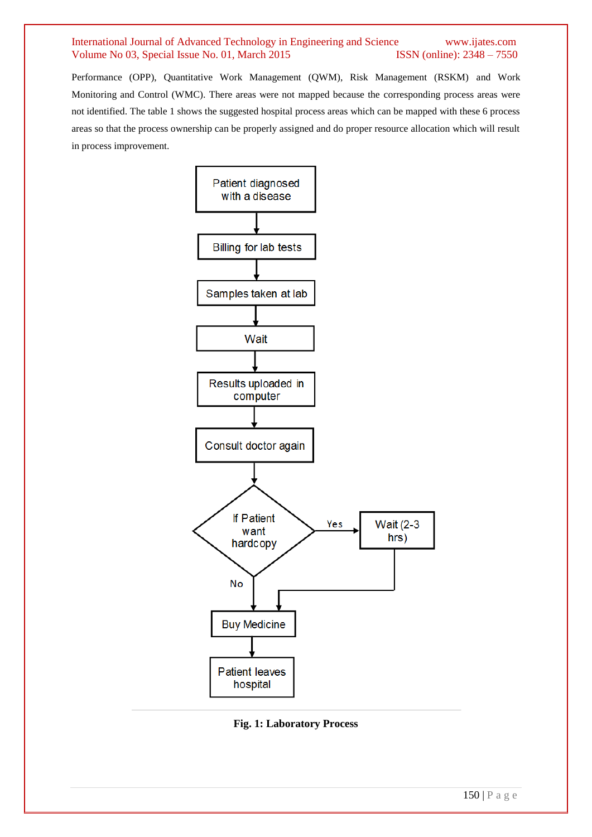Performance (OPP), Quantitative Work Management (QWM), Risk Management (RSKM) and Work Monitoring and Control (WMC). There areas were not mapped because the corresponding process areas were not identified. The table 1 shows the suggested hospital process areas which can be mapped with these 6 process areas so that the process ownership can be properly assigned and do proper resource allocation which will result in process improvement.



**Fig. 1: Laboratory Process**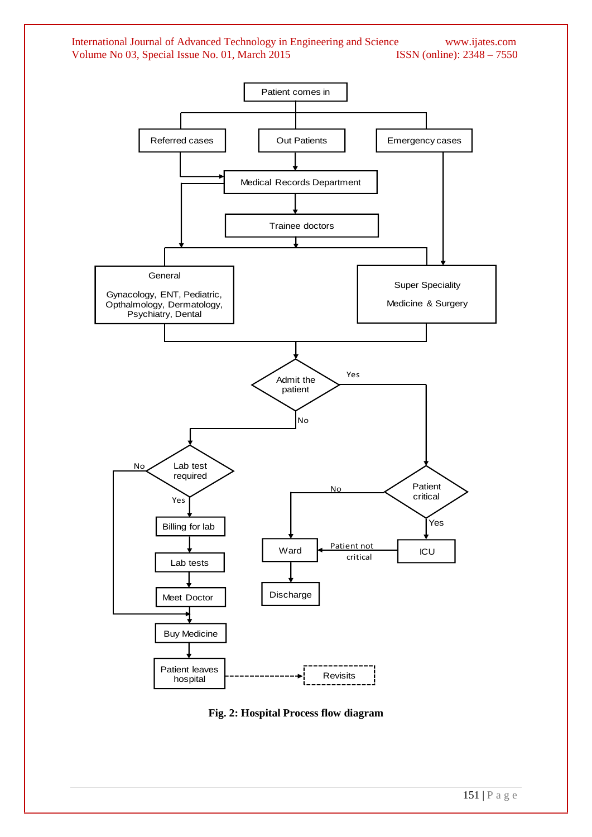

**Fig. 2: Hospital Process flow diagram**